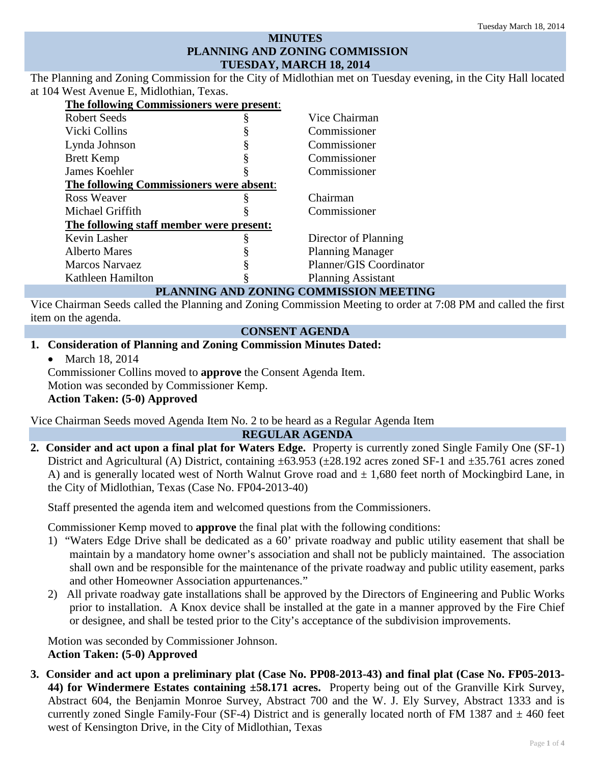## **MINUTES PLANNING AND ZONING COMMISSION TUESDAY, MARCH 18, 2014**

The Planning and Zoning Commission for the City of Midlothian met on Tuesday evening, in the City Hall located at 104 West Avenue E, Midlothian, Texas.

| The following Commissioners were present: |                           |
|-------------------------------------------|---------------------------|
| Robert Seeds                              | Vice Chairman             |
| Vicki Collins                             | Commissioner              |
| Lynda Johnson                             | Commissioner              |
| <b>Brett Kemp</b>                         | Commissioner              |
| James Koehler                             | Commissioner              |
| The following Commissioners were absent:  |                           |
| Ross Weaver                               | Chairman                  |
| Michael Griffith                          | Commissioner              |
| The following staff member were present:  |                           |
| Kevin Lasher                              | Director of Planning      |
| <b>Alberto Mares</b>                      | <b>Planning Manager</b>   |
| <b>Marcos Narvaez</b>                     | Planner/GIS Coordinator   |
| Kathleen Hamilton                         | <b>Planning Assistant</b> |
|                                           |                           |

### **PLANNING AND ZONING COMMISSION MEETING**

Vice Chairman Seeds called the Planning and Zoning Commission Meeting to order at 7:08 PM and called the first item on the agenda.

#### **CONSENT AGENDA**

#### **1. Consideration of Planning and Zoning Commission Minutes Dated:**

• March 18, 2014

Commissioner Collins moved to **approve** the Consent Agenda Item. Motion was seconded by Commissioner Kemp. **Action Taken: (5-0) Approved**

Vice Chairman Seeds moved Agenda Item No. 2 to be heard as a Regular Agenda Item

#### **REGULAR AGENDA**

**2. Consider and act upon a final plat for Waters Edge.** Property is currently zoned Single Family One (SF-1) District and Agricultural (A) District, containing ±63.953 (±28.192 acres zoned SF-1 and ±35.761 acres zoned A) and is generally located west of North Walnut Grove road and  $\pm$  1,680 feet north of Mockingbird Lane, in the City of Midlothian, Texas (Case No. FP04-2013-40)

Staff presented the agenda item and welcomed questions from the Commissioners.

Commissioner Kemp moved to **approve** the final plat with the following conditions:

- 1) "Waters Edge Drive shall be dedicated as a 60' private roadway and public utility easement that shall be maintain by a mandatory home owner's association and shall not be publicly maintained. The association shall own and be responsible for the maintenance of the private roadway and public utility easement, parks and other Homeowner Association appurtenances."
- 2) All private roadway gate installations shall be approved by the Directors of Engineering and Public Works prior to installation. A Knox device shall be installed at the gate in a manner approved by the Fire Chief or designee, and shall be tested prior to the City's acceptance of the subdivision improvements.

Motion was seconded by Commissioner Johnson. **Action Taken: (5-0) Approved**

**3. Consider and act upon a preliminary plat (Case No. PP08-2013-43) and final plat (Case No. FP05-2013- 44) for Windermere Estates containing ±58.171 acres.** Property being out of the Granville Kirk Survey, Abstract 604, the Benjamin Monroe Survey, Abstract 700 and the W. J. Ely Survey, Abstract 1333 and is currently zoned Single Family-Four (SF-4) District and is generally located north of FM 1387 and  $\pm$  460 feet west of Kensington Drive, in the City of Midlothian, Texas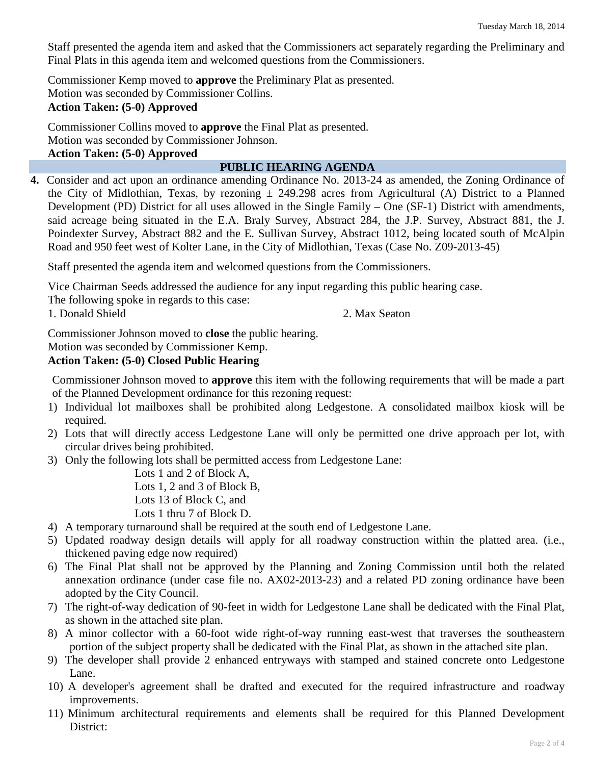Staff presented the agenda item and asked that the Commissioners act separately regarding the Preliminary and Final Plats in this agenda item and welcomed questions from the Commissioners.

Commissioner Kemp moved to **approve** the Preliminary Plat as presented. Motion was seconded by Commissioner Collins. **Action Taken: (5-0) Approved**

Commissioner Collins moved to **approve** the Final Plat as presented. Motion was seconded by Commissioner Johnson. **Action Taken: (5-0) Approved**

### **PUBLIC HEARING AGENDA**

**4.** Consider and act upon an ordinance amending Ordinance No. 2013-24 as amended, the Zoning Ordinance of the City of Midlothian, Texas, by rezoning  $\pm$  249.298 acres from Agricultural (A) District to a Planned Development (PD) District for all uses allowed in the Single Family – One (SF-1) District with amendments, said acreage being situated in the E.A. Braly Survey, Abstract 284, the J.P. Survey, Abstract 881, the J. Poindexter Survey, Abstract 882 and the E. Sullivan Survey, Abstract 1012, being located south of McAlpin Road and 950 feet west of Kolter Lane, in the City of Midlothian, Texas (Case No. Z09-2013-45)

Staff presented the agenda item and welcomed questions from the Commissioners.

Vice Chairman Seeds addressed the audience for any input regarding this public hearing case.

| The following spoke in regards to this case: |               |
|----------------------------------------------|---------------|
| 1. Donald Shield                             | 2. Max Seaton |

Commissioner Johnson moved to **close** the public hearing.

Motion was seconded by Commissioner Kemp.

### **Action Taken: (5-0) Closed Public Hearing**

Commissioner Johnson moved to **approve** this item with the following requirements that will be made a part of the Planned Development ordinance for this rezoning request:

- 1) Individual lot mailboxes shall be prohibited along Ledgestone. A consolidated mailbox kiosk will be required.
- 2) Lots that will directly access Ledgestone Lane will only be permitted one drive approach per lot, with circular drives being prohibited.
- 3) Only the following lots shall be permitted access from Ledgestone Lane:

Lots 1 and 2 of Block A, Lots 1, 2 and 3 of Block B, Lots 13 of Block C, and Lots 1 thru 7 of Block D.

- 4) A temporary turnaround shall be required at the south end of Ledgestone Lane.
- 5) Updated roadway design details will apply for all roadway construction within the platted area. (i.e., thickened paving edge now required)
- 6) The Final Plat shall not be approved by the Planning and Zoning Commission until both the related annexation ordinance (under case file no. AX02-2013-23) and a related PD zoning ordinance have been adopted by the City Council.
- 7) The right-of-way dedication of 90-feet in width for Ledgestone Lane shall be dedicated with the Final Plat, as shown in the attached site plan.
- 8) A minor collector with a 60-foot wide right-of-way running east-west that traverses the southeastern portion of the subject property shall be dedicated with the Final Plat, as shown in the attached site plan.
- 9) The developer shall provide 2 enhanced entryways with stamped and stained concrete onto Ledgestone Lane.
- 10) A developer's agreement shall be drafted and executed for the required infrastructure and roadway improvements.
- 11) Minimum architectural requirements and elements shall be required for this Planned Development District: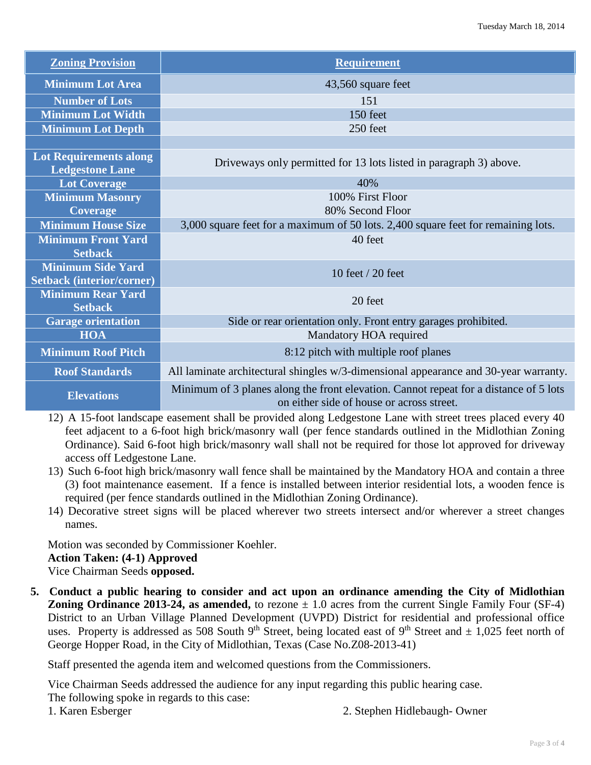| <b>Zoning Provision</b>                                 | <b>Requirement</b>                                                                                                                 |  |
|---------------------------------------------------------|------------------------------------------------------------------------------------------------------------------------------------|--|
| <b>Minimum Lot Area</b>                                 | 43,560 square feet                                                                                                                 |  |
| <b>Number of Lots</b>                                   | 151                                                                                                                                |  |
| <b>Minimum Lot Width</b>                                | 150 feet                                                                                                                           |  |
| <b>Minimum Lot Depth</b>                                | 250 feet                                                                                                                           |  |
|                                                         |                                                                                                                                    |  |
| <b>Lot Requirements along</b><br><b>Ledgestone Lane</b> | Driveways only permitted for 13 lots listed in paragraph 3) above.                                                                 |  |
| <b>Lot Coverage</b>                                     | 40%                                                                                                                                |  |
| <b>Minimum Masonry</b>                                  | 100% First Floor                                                                                                                   |  |
| <b>Coverage</b>                                         | 80% Second Floor                                                                                                                   |  |
| <b>Minimum House Size</b>                               | 3,000 square feet for a maximum of 50 lots. 2,400 square feet for remaining lots.                                                  |  |
| <b>Minimum Front Yard</b>                               | 40 feet                                                                                                                            |  |
| <b>Setback</b>                                          |                                                                                                                                    |  |
| <b>Minimum Side Yard</b>                                | 10 feet $/$ 20 feet                                                                                                                |  |
| <b>Setback (interior/corner)</b>                        |                                                                                                                                    |  |
| <b>Minimum Rear Yard</b><br><b>Setback</b>              | 20 feet                                                                                                                            |  |
| <b>Garage orientation</b>                               | Side or rear orientation only. Front entry garages prohibited.                                                                     |  |
| <b>HOA</b>                                              | Mandatory HOA required                                                                                                             |  |
| <b>Minimum Roof Pitch</b>                               | 8:12 pitch with multiple roof planes                                                                                               |  |
| <b>Roof Standards</b>                                   | All laminate architectural shingles w/3-dimensional appearance and 30-year warranty.                                               |  |
| <b>Elevations</b>                                       | Minimum of 3 planes along the front elevation. Cannot repeat for a distance of 5 lots<br>on either side of house or across street. |  |

12) A 15-foot landscape easement shall be provided along Ledgestone Lane with street trees placed every 40 feet adjacent to a 6-foot high brick/masonry wall (per fence standards outlined in the Midlothian Zoning Ordinance). Said 6-foot high brick/masonry wall shall not be required for those lot approved for driveway access off Ledgestone Lane.

- 13) Such 6-foot high brick/masonry wall fence shall be maintained by the Mandatory HOA and contain a three (3) foot maintenance easement. If a fence is installed between interior residential lots, a wooden fence is required (per fence standards outlined in the Midlothian Zoning Ordinance).
- 14) Decorative street signs will be placed wherever two streets intersect and/or wherever a street changes names.

Motion was seconded by Commissioner Koehler.

**Action Taken: (4-1) Approved**

Vice Chairman Seeds **opposed.**

**5. Conduct a public hearing to consider and act upon an ordinance amending the City of Midlothian Zoning Ordinance 2013-24, as amended,** to rezone  $\pm$  1.0 acres from the current Single Family Four (SF-4) District to an Urban Village Planned Development (UVPD) District for residential and professional office uses. Property is addressed as 508 South 9<sup>th</sup> Street, being located east of 9<sup>th</sup> Street and  $\pm$  1,025 feet north of George Hopper Road, in the City of Midlothian, Texas (Case No.Z08-2013-41)

Staff presented the agenda item and welcomed questions from the Commissioners.

Vice Chairman Seeds addressed the audience for any input regarding this public hearing case. The following spoke in regards to this case:

1. Karen Esberger 2. Stephen Hidlebaugh- Owner